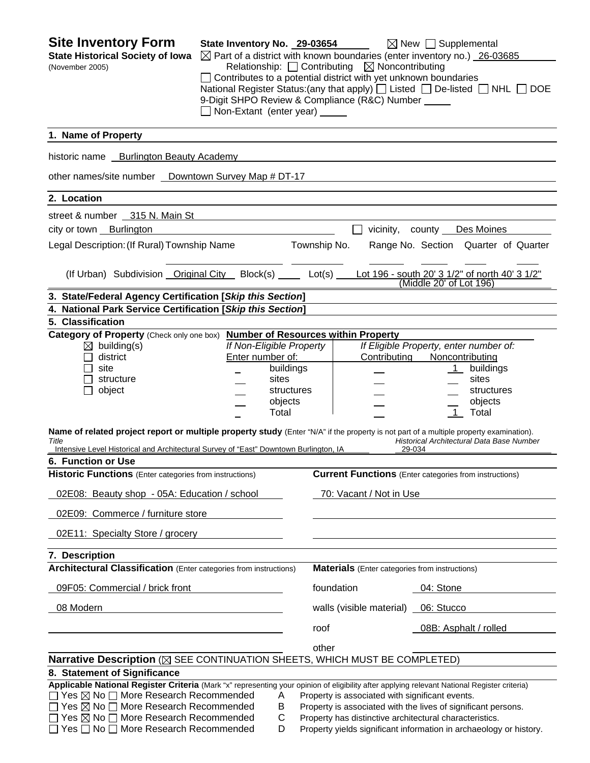| <b>Site Inventory Form</b><br><b>State Historical Society of Iowa</b><br>(November 2005)                                                                                                                                                                                                                                                                                                                                        | State Inventory No. 29-03654<br>$\Box$ Contributes to a potential district with yet unknown boundaries<br>9-Digit SHPO Review & Compliance (R&C) Number _____<br>$\Box$ Non-Extant (enter year) $\Box$ |                         | Relationship: □ Contributing ⊠ Noncontributing        | $\boxtimes$ New $\Box$ Supplemental<br>$\boxtimes$ Part of a district with known boundaries (enter inventory no.) 26-03685<br>National Register Status: (any that apply) $\Box$ Listed $\Box$ De-listed $\Box$ NHL $\Box$ DOE |  |
|---------------------------------------------------------------------------------------------------------------------------------------------------------------------------------------------------------------------------------------------------------------------------------------------------------------------------------------------------------------------------------------------------------------------------------|--------------------------------------------------------------------------------------------------------------------------------------------------------------------------------------------------------|-------------------------|-------------------------------------------------------|-------------------------------------------------------------------------------------------------------------------------------------------------------------------------------------------------------------------------------|--|
| 1. Name of Property                                                                                                                                                                                                                                                                                                                                                                                                             |                                                                                                                                                                                                        |                         |                                                       |                                                                                                                                                                                                                               |  |
| historic name Burlington Beauty Academy                                                                                                                                                                                                                                                                                                                                                                                         |                                                                                                                                                                                                        |                         |                                                       |                                                                                                                                                                                                                               |  |
| other names/site number _ Downtown Survey Map # DT-17                                                                                                                                                                                                                                                                                                                                                                           |                                                                                                                                                                                                        |                         |                                                       |                                                                                                                                                                                                                               |  |
| 2. Location                                                                                                                                                                                                                                                                                                                                                                                                                     |                                                                                                                                                                                                        |                         |                                                       |                                                                                                                                                                                                                               |  |
| street & number 315 N. Main St                                                                                                                                                                                                                                                                                                                                                                                                  |                                                                                                                                                                                                        |                         |                                                       |                                                                                                                                                                                                                               |  |
| city or town Burlington                                                                                                                                                                                                                                                                                                                                                                                                         |                                                                                                                                                                                                        |                         | $\Box$                                                | vicinity, county Des Moines                                                                                                                                                                                                   |  |
| Legal Description: (If Rural) Township Name                                                                                                                                                                                                                                                                                                                                                                                     |                                                                                                                                                                                                        | Township No.            |                                                       | Range No. Section Quarter of Quarter                                                                                                                                                                                          |  |
| (If Urban) Subdivision Original City Block(s) Lot(s) Lot 196 - south 20' 3 1/2" of north 40' 3 1/2"                                                                                                                                                                                                                                                                                                                             |                                                                                                                                                                                                        |                         |                                                       | (Middle 20' of Lot 196)                                                                                                                                                                                                       |  |
| 3. State/Federal Agency Certification [Skip this Section]                                                                                                                                                                                                                                                                                                                                                                       |                                                                                                                                                                                                        |                         |                                                       |                                                                                                                                                                                                                               |  |
| 4. National Park Service Certification [Skip this Section]                                                                                                                                                                                                                                                                                                                                                                      |                                                                                                                                                                                                        |                         |                                                       |                                                                                                                                                                                                                               |  |
| 5. Classification                                                                                                                                                                                                                                                                                                                                                                                                               |                                                                                                                                                                                                        |                         |                                                       |                                                                                                                                                                                                                               |  |
| Category of Property (Check only one box) Number of Resources within Property<br>$\boxtimes$ building(s)<br>district<br>site<br>structure<br>object<br>ΙI                                                                                                                                                                                                                                                                       | If Non-Eligible Property<br>Enter number of:<br>sites<br>objects<br>Total                                                                                                                              | buildings<br>structures | Contributing                                          | If Eligible Property, enter number of:<br>Noncontributing<br>buildings<br>1<br>sites<br>structures<br>objects<br>$\overline{1}$<br>Total                                                                                      |  |
| Name of related project report or multiple property study (Enter "N/A" if the property is not part of a multiple property examination).<br>Title<br>Intensive Level Historical and Architectural Survey of "East" Downtown Burlington, IA<br>6. Function or Use                                                                                                                                                                 |                                                                                                                                                                                                        |                         |                                                       | Historical Architectural Data Base Number<br>29-034                                                                                                                                                                           |  |
| <b>Historic Functions</b> (Enter categories from instructions)                                                                                                                                                                                                                                                                                                                                                                  |                                                                                                                                                                                                        |                         |                                                       | <b>Current Functions</b> (Enter categories from instructions)                                                                                                                                                                 |  |
| 02E08: Beauty shop - 05A: Education / school                                                                                                                                                                                                                                                                                                                                                                                    |                                                                                                                                                                                                        |                         | 70: Vacant / Not in Use                               |                                                                                                                                                                                                                               |  |
| 02E09: Commerce / furniture store                                                                                                                                                                                                                                                                                                                                                                                               |                                                                                                                                                                                                        |                         |                                                       |                                                                                                                                                                                                                               |  |
| 02E11: Specialty Store / grocery                                                                                                                                                                                                                                                                                                                                                                                                |                                                                                                                                                                                                        |                         |                                                       |                                                                                                                                                                                                                               |  |
| 7. Description                                                                                                                                                                                                                                                                                                                                                                                                                  |                                                                                                                                                                                                        |                         |                                                       |                                                                                                                                                                                                                               |  |
| Architectural Classification (Enter categories from instructions)                                                                                                                                                                                                                                                                                                                                                               |                                                                                                                                                                                                        |                         | <b>Materials</b> (Enter categories from instructions) |                                                                                                                                                                                                                               |  |
| 09F05: Commercial / brick front                                                                                                                                                                                                                                                                                                                                                                                                 |                                                                                                                                                                                                        | foundation              |                                                       | 04: Stone                                                                                                                                                                                                                     |  |
| 08 Modern                                                                                                                                                                                                                                                                                                                                                                                                                       |                                                                                                                                                                                                        |                         | walls (visible material)                              | 06: Stucco                                                                                                                                                                                                                    |  |
|                                                                                                                                                                                                                                                                                                                                                                                                                                 |                                                                                                                                                                                                        | roof                    |                                                       | 08B: Asphalt / rolled                                                                                                                                                                                                         |  |
| Narrative Description ( $\boxtimes$ SEE CONTINUATION SHEETS, WHICH MUST BE COMPLETED)                                                                                                                                                                                                                                                                                                                                           |                                                                                                                                                                                                        | other                   |                                                       |                                                                                                                                                                                                                               |  |
| 8. Statement of Significance<br>Applicable National Register Criteria (Mark "x" representing your opinion of eligibility after applying relevant National Register criteria)<br>$\Box$ Yes $\boxtimes$ No $\Box$ More Research Recommended<br>$\Box$ Yes $\boxtimes$ No $\Box$ More Research Recommended<br>$\Box$ Yes $\boxtimes$ No $\Box$ More Research Recommended<br>$\Box$ Yes $\Box$ No $\Box$ More Research Recommended | A<br>В<br>С<br>D                                                                                                                                                                                       |                         | Property is associated with significant events.       | Property is associated with the lives of significant persons.<br>Property has distinctive architectural characteristics.<br>Property yields significant information in archaeology or history.                                |  |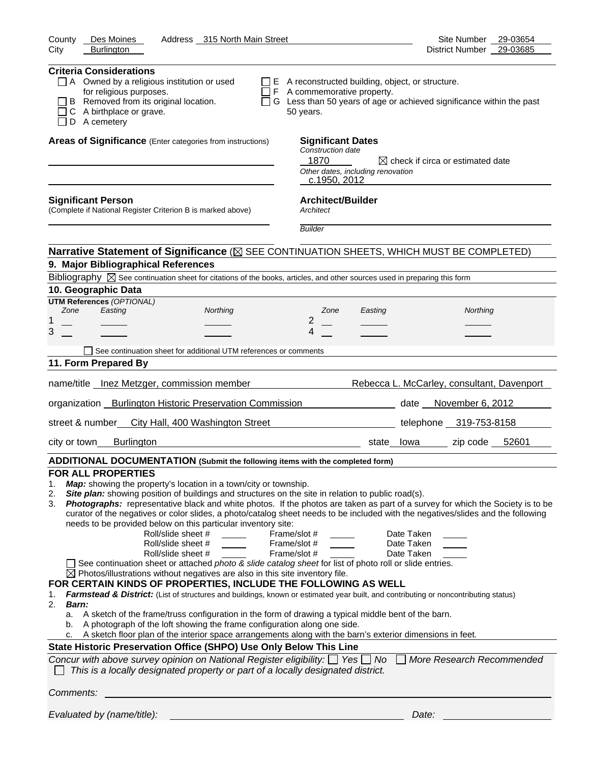| County<br>Address 315 North Main Street<br>Des Moines<br>City<br><b>Burlington</b>                                                                                                                                                                                                                                                                                                                                                                                                                                                                                                                                                                                                                                                                                                                                                                                                                                                                                                                                                                                                                                                                                                                                                                                                                                                                                                                                                                                                                                                                                                                                                                                                                         | Site Number 29-03654<br>District Number 29-03685                    |
|------------------------------------------------------------------------------------------------------------------------------------------------------------------------------------------------------------------------------------------------------------------------------------------------------------------------------------------------------------------------------------------------------------------------------------------------------------------------------------------------------------------------------------------------------------------------------------------------------------------------------------------------------------------------------------------------------------------------------------------------------------------------------------------------------------------------------------------------------------------------------------------------------------------------------------------------------------------------------------------------------------------------------------------------------------------------------------------------------------------------------------------------------------------------------------------------------------------------------------------------------------------------------------------------------------------------------------------------------------------------------------------------------------------------------------------------------------------------------------------------------------------------------------------------------------------------------------------------------------------------------------------------------------------------------------------------------------|---------------------------------------------------------------------|
|                                                                                                                                                                                                                                                                                                                                                                                                                                                                                                                                                                                                                                                                                                                                                                                                                                                                                                                                                                                                                                                                                                                                                                                                                                                                                                                                                                                                                                                                                                                                                                                                                                                                                                            |                                                                     |
| <b>Criteria Considerations</b><br>$\Box$ A Owned by a religious institution or used<br>$\Box$ E A reconstructed building, object, or structure.<br>for religious purposes.<br>F A commemorative property.<br>$\Box$<br>G Less than 50 years of age or achieved significance within the past<br>B Removed from its original location.<br>$\perp$<br>C A birthplace or grave.<br>50 years.<br>$\Box$ D A cemetery                                                                                                                                                                                                                                                                                                                                                                                                                                                                                                                                                                                                                                                                                                                                                                                                                                                                                                                                                                                                                                                                                                                                                                                                                                                                                            |                                                                     |
| Areas of Significance (Enter categories from instructions)<br><b>Significant Dates</b><br>Construction date<br>1870<br>Other dates, including renovation<br>c.1950, 2012                                                                                                                                                                                                                                                                                                                                                                                                                                                                                                                                                                                                                                                                                                                                                                                                                                                                                                                                                                                                                                                                                                                                                                                                                                                                                                                                                                                                                                                                                                                                   | $\boxtimes$ check if circa or estimated date                        |
| <b>Architect/Builder</b><br><b>Significant Person</b><br>(Complete if National Register Criterion B is marked above)<br>Architect                                                                                                                                                                                                                                                                                                                                                                                                                                                                                                                                                                                                                                                                                                                                                                                                                                                                                                                                                                                                                                                                                                                                                                                                                                                                                                                                                                                                                                                                                                                                                                          |                                                                     |
| <b>Builder</b>                                                                                                                                                                                                                                                                                                                                                                                                                                                                                                                                                                                                                                                                                                                                                                                                                                                                                                                                                                                                                                                                                                                                                                                                                                                                                                                                                                                                                                                                                                                                                                                                                                                                                             |                                                                     |
| Narrative Statement of Significance ( $\boxtimes$ SEE CONTINUATION SHEETS, WHICH MUST BE COMPLETED)                                                                                                                                                                                                                                                                                                                                                                                                                                                                                                                                                                                                                                                                                                                                                                                                                                                                                                                                                                                                                                                                                                                                                                                                                                                                                                                                                                                                                                                                                                                                                                                                        |                                                                     |
| 9. Major Bibliographical References                                                                                                                                                                                                                                                                                                                                                                                                                                                                                                                                                                                                                                                                                                                                                                                                                                                                                                                                                                                                                                                                                                                                                                                                                                                                                                                                                                                                                                                                                                                                                                                                                                                                        |                                                                     |
| Bibliography $\boxtimes$ See continuation sheet for citations of the books, articles, and other sources used in preparing this form                                                                                                                                                                                                                                                                                                                                                                                                                                                                                                                                                                                                                                                                                                                                                                                                                                                                                                                                                                                                                                                                                                                                                                                                                                                                                                                                                                                                                                                                                                                                                                        |                                                                     |
| 10. Geographic Data                                                                                                                                                                                                                                                                                                                                                                                                                                                                                                                                                                                                                                                                                                                                                                                                                                                                                                                                                                                                                                                                                                                                                                                                                                                                                                                                                                                                                                                                                                                                                                                                                                                                                        |                                                                     |
| <b>UTM References (OPTIONAL)</b><br>Easting<br>Zone<br>Northing<br>Zone<br>Easting                                                                                                                                                                                                                                                                                                                                                                                                                                                                                                                                                                                                                                                                                                                                                                                                                                                                                                                                                                                                                                                                                                                                                                                                                                                                                                                                                                                                                                                                                                                                                                                                                         | Northing                                                            |
| 1<br>2                                                                                                                                                                                                                                                                                                                                                                                                                                                                                                                                                                                                                                                                                                                                                                                                                                                                                                                                                                                                                                                                                                                                                                                                                                                                                                                                                                                                                                                                                                                                                                                                                                                                                                     |                                                                     |
| 3<br>4                                                                                                                                                                                                                                                                                                                                                                                                                                                                                                                                                                                                                                                                                                                                                                                                                                                                                                                                                                                                                                                                                                                                                                                                                                                                                                                                                                                                                                                                                                                                                                                                                                                                                                     |                                                                     |
| See continuation sheet for additional UTM references or comments                                                                                                                                                                                                                                                                                                                                                                                                                                                                                                                                                                                                                                                                                                                                                                                                                                                                                                                                                                                                                                                                                                                                                                                                                                                                                                                                                                                                                                                                                                                                                                                                                                           |                                                                     |
| 11. Form Prepared By                                                                                                                                                                                                                                                                                                                                                                                                                                                                                                                                                                                                                                                                                                                                                                                                                                                                                                                                                                                                                                                                                                                                                                                                                                                                                                                                                                                                                                                                                                                                                                                                                                                                                       |                                                                     |
|                                                                                                                                                                                                                                                                                                                                                                                                                                                                                                                                                                                                                                                                                                                                                                                                                                                                                                                                                                                                                                                                                                                                                                                                                                                                                                                                                                                                                                                                                                                                                                                                                                                                                                            |                                                                     |
| name/title __ Inez Metzger, commission member                                                                                                                                                                                                                                                                                                                                                                                                                                                                                                                                                                                                                                                                                                                                                                                                                                                                                                                                                                                                                                                                                                                                                                                                                                                                                                                                                                                                                                                                                                                                                                                                                                                              | Rebecca L. McCarley, consultant, Davenport                          |
| organization _ Burlington Historic Preservation Commission                                                                                                                                                                                                                                                                                                                                                                                                                                                                                                                                                                                                                                                                                                                                                                                                                                                                                                                                                                                                                                                                                                                                                                                                                                                                                                                                                                                                                                                                                                                                                                                                                                                 | date November 6, 2012                                               |
| street & number_ City Hall, 400 Washington Street                                                                                                                                                                                                                                                                                                                                                                                                                                                                                                                                                                                                                                                                                                                                                                                                                                                                                                                                                                                                                                                                                                                                                                                                                                                                                                                                                                                                                                                                                                                                                                                                                                                          | telephone 319-753-8158                                              |
| city or town___<br>Burlington<br>state lowa                                                                                                                                                                                                                                                                                                                                                                                                                                                                                                                                                                                                                                                                                                                                                                                                                                                                                                                                                                                                                                                                                                                                                                                                                                                                                                                                                                                                                                                                                                                                                                                                                                                                | zip code 52601                                                      |
| ADDITIONAL DOCUMENTATION (Submit the following items with the completed form)                                                                                                                                                                                                                                                                                                                                                                                                                                                                                                                                                                                                                                                                                                                                                                                                                                                                                                                                                                                                                                                                                                                                                                                                                                                                                                                                                                                                                                                                                                                                                                                                                              |                                                                     |
| <b>FOR ALL PROPERTIES</b><br>Map: showing the property's location in a town/city or township.<br>1.<br>Site plan: showing position of buildings and structures on the site in relation to public road(s).<br>2.<br>Photographs: representative black and white photos. If the photos are taken as part of a survey for which the Society is to be<br>3.<br>curator of the negatives or color slides, a photo/catalog sheet needs to be included with the negatives/slides and the following<br>needs to be provided below on this particular inventory site:<br>Roll/slide sheet #<br>Frame/slot #<br>Roll/slide sheet #<br>Frame/slot #<br>Frame/slot #<br>Roll/slide sheet #<br>See continuation sheet or attached photo & slide catalog sheet for list of photo roll or slide entries.<br>$\boxtimes$ Photos/illustrations without negatives are also in this site inventory file.<br>FOR CERTAIN KINDS OF PROPERTIES, INCLUDE THE FOLLOWING AS WELL<br>Farmstead & District: (List of structures and buildings, known or estimated year built, and contributing or noncontributing status)<br>1.<br>2.<br><b>Barn:</b><br>a. A sketch of the frame/truss configuration in the form of drawing a typical middle bent of the barn.<br>A photograph of the loft showing the frame configuration along one side.<br>b.<br>A sketch floor plan of the interior space arrangements along with the barn's exterior dimensions in feet.<br>c.<br>State Historic Preservation Office (SHPO) Use Only Below This Line<br>Concur with above survey opinion on National Register eligibility: $\Box$ Yes $\Box$ No<br>This is a locally designated property or part of a locally designated district.<br>Comments: | Date Taken<br>Date Taken<br>Date Taken<br>More Research Recommended |
|                                                                                                                                                                                                                                                                                                                                                                                                                                                                                                                                                                                                                                                                                                                                                                                                                                                                                                                                                                                                                                                                                                                                                                                                                                                                                                                                                                                                                                                                                                                                                                                                                                                                                                            |                                                                     |
| Evaluated by (name/title):                                                                                                                                                                                                                                                                                                                                                                                                                                                                                                                                                                                                                                                                                                                                                                                                                                                                                                                                                                                                                                                                                                                                                                                                                                                                                                                                                                                                                                                                                                                                                                                                                                                                                 | Date:                                                               |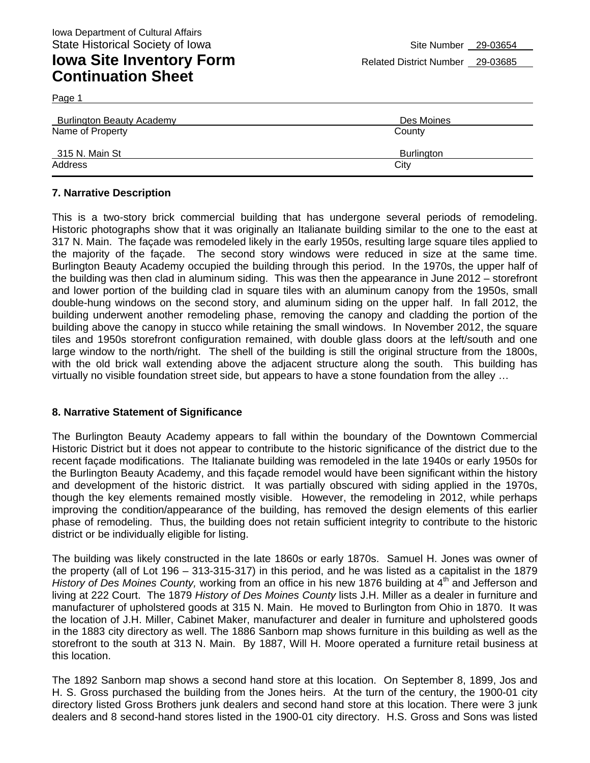| lated District N |  |
|------------------|--|
|                  |  |

| <b>Burlington Beauty Academy</b> | Des Moines        |
|----------------------------------|-------------------|
| Name of Property                 | County            |
| 315 N. Main St                   | <b>Burlington</b> |
| Address                          | City              |

#### **7. Narrative Description**

This is a two-story brick commercial building that has undergone several periods of remodeling. Historic photographs show that it was originally an Italianate building similar to the one to the east at 317 N. Main. The façade was remodeled likely in the early 1950s, resulting large square tiles applied to the majority of the façade. The second story windows were reduced in size at the same time. Burlington Beauty Academy occupied the building through this period. In the 1970s, the upper half of the building was then clad in aluminum siding. This was then the appearance in June 2012 – storefront and lower portion of the building clad in square tiles with an aluminum canopy from the 1950s, small double-hung windows on the second story, and aluminum siding on the upper half. In fall 2012, the building underwent another remodeling phase, removing the canopy and cladding the portion of the building above the canopy in stucco while retaining the small windows. In November 2012, the square tiles and 1950s storefront configuration remained, with double glass doors at the left/south and one large window to the north/right. The shell of the building is still the original structure from the 1800s, with the old brick wall extending above the adjacent structure along the south. This building has virtually no visible foundation street side, but appears to have a stone foundation from the alley …

#### **8. Narrative Statement of Significance**

The Burlington Beauty Academy appears to fall within the boundary of the Downtown Commercial Historic District but it does not appear to contribute to the historic significance of the district due to the recent façade modifications. The Italianate building was remodeled in the late 1940s or early 1950s for the Burlington Beauty Academy, and this façade remodel would have been significant within the history and development of the historic district. It was partially obscured with siding applied in the 1970s, though the key elements remained mostly visible. However, the remodeling in 2012, while perhaps improving the condition/appearance of the building, has removed the design elements of this earlier phase of remodeling. Thus, the building does not retain sufficient integrity to contribute to the historic district or be individually eligible for listing.

The building was likely constructed in the late 1860s or early 1870s. Samuel H. Jones was owner of the property (all of Lot 196 – 313-315-317) in this period, and he was listed as a capitalist in the 1879 *History of Des Moines County, working from an office in his new 1876 building at 4<sup>th</sup> and Jefferson and* living at 222 Court. The 1879 *History of Des Moines County* lists J.H. Miller as a dealer in furniture and manufacturer of upholstered goods at 315 N. Main. He moved to Burlington from Ohio in 1870. It was the location of J.H. Miller, Cabinet Maker, manufacturer and dealer in furniture and upholstered goods in the 1883 city directory as well. The 1886 Sanborn map shows furniture in this building as well as the storefront to the south at 313 N. Main. By 1887, Will H. Moore operated a furniture retail business at this location.

The 1892 Sanborn map shows a second hand store at this location. On September 8, 1899, Jos and H. S. Gross purchased the building from the Jones heirs. At the turn of the century, the 1900-01 city directory listed Gross Brothers junk dealers and second hand store at this location. There were 3 junk dealers and 8 second-hand stores listed in the 1900-01 city directory. H.S. Gross and Sons was listed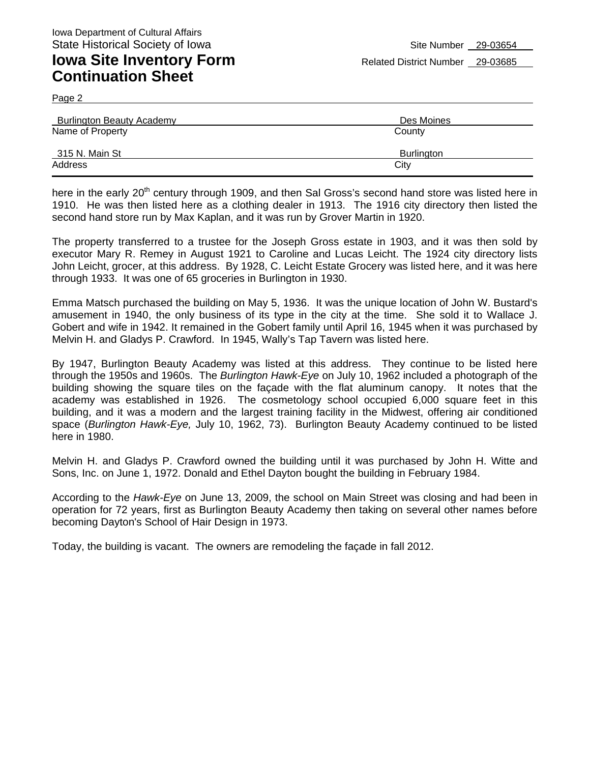Page 2

| <b>Burlington Beauty Academy</b> | Des Moines |
|----------------------------------|------------|
| Name of Property                 | County     |
| 315 N. Main St                   | Burlington |
| Address                          | City       |

here in the early 20<sup>th</sup> century through 1909, and then Sal Gross's second hand store was listed here in 1910. He was then listed here as a clothing dealer in 1913. The 1916 city directory then listed the second hand store run by Max Kaplan, and it was run by Grover Martin in 1920.

The property transferred to a trustee for the Joseph Gross estate in 1903, and it was then sold by executor Mary R. Remey in August 1921 to Caroline and Lucas Leicht. The 1924 city directory lists John Leicht, grocer, at this address. By 1928, C. Leicht Estate Grocery was listed here, and it was here through 1933. It was one of 65 groceries in Burlington in 1930.

Emma Matsch purchased the building on May 5, 1936. It was the unique location of John W. Bustard's amusement in 1940, the only business of its type in the city at the time. She sold it to Wallace J. Gobert and wife in 1942. It remained in the Gobert family until April 16, 1945 when it was purchased by Melvin H. and Gladys P. Crawford. In 1945, Wally's Tap Tavern was listed here.

By 1947, Burlington Beauty Academy was listed at this address. They continue to be listed here through the 1950s and 1960s. The *Burlington Hawk-Eye* on July 10, 1962 included a photograph of the building showing the square tiles on the façade with the flat aluminum canopy. It notes that the academy was established in 1926. The cosmetology school occupied 6,000 square feet in this building, and it was a modern and the largest training facility in the Midwest, offering air conditioned space (*Burlington Hawk-Eye,* July 10, 1962, 73). Burlington Beauty Academy continued to be listed here in 1980.

Melvin H. and Gladys P. Crawford owned the building until it was purchased by John H. Witte and Sons, Inc. on June 1, 1972. Donald and Ethel Dayton bought the building in February 1984.

According to the *Hawk-Eye* on June 13, 2009, the school on Main Street was closing and had been in operation for 72 years, first as Burlington Beauty Academy then taking on several other names before becoming Dayton's School of Hair Design in 1973.

Today, the building is vacant. The owners are remodeling the façade in fall 2012.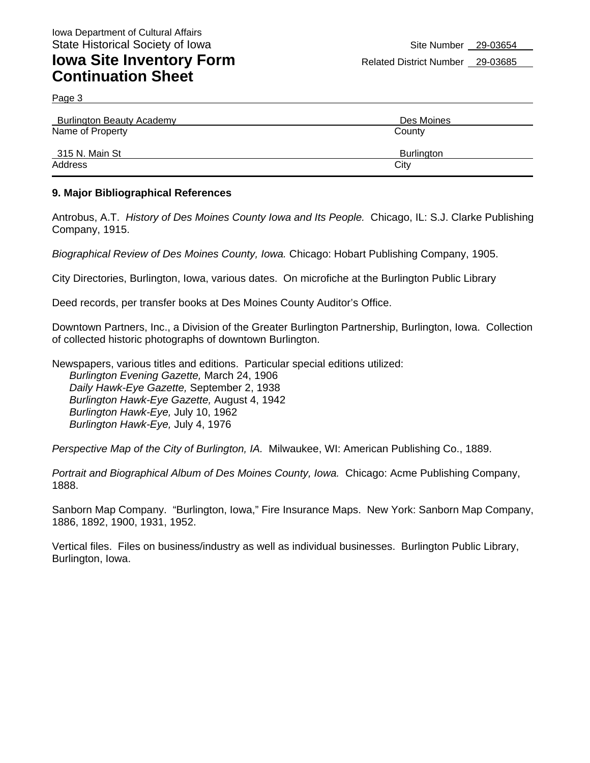Page 3

| <b>Burlington Beauty Academy</b> | Des Moines        |
|----------------------------------|-------------------|
| Name of Property                 | County            |
| 315 N. Main St                   | <b>Burlington</b> |
| Address                          | City              |

#### **9. Major Bibliographical References**

Antrobus, A.T. *History of Des Moines County Iowa and Its People.* Chicago, IL: S.J. Clarke Publishing Company, 1915.

*Biographical Review of Des Moines County, Iowa.* Chicago: Hobart Publishing Company, 1905.

City Directories, Burlington, Iowa, various dates. On microfiche at the Burlington Public Library

Deed records, per transfer books at Des Moines County Auditor's Office.

Downtown Partners, Inc., a Division of the Greater Burlington Partnership, Burlington, Iowa. Collection of collected historic photographs of downtown Burlington.

Newspapers, various titles and editions. Particular special editions utilized: *Burlington Evening Gazette,* March 24, 1906 *Daily Hawk-Eye Gazette,* September 2, 1938 *Burlington Hawk-Eye Gazette,* August 4, 1942 *Burlington Hawk-Eye,* July 10, 1962 *Burlington Hawk-Eye,* July 4, 1976

*Perspective Map of the City of Burlington, IA.* Milwaukee, WI: American Publishing Co., 1889.

*Portrait and Biographical Album of Des Moines County, Iowa.* Chicago: Acme Publishing Company, 1888.

Sanborn Map Company. "Burlington, Iowa," Fire Insurance Maps. New York: Sanborn Map Company, 1886, 1892, 1900, 1931, 1952.

Vertical files. Files on business/industry as well as individual businesses. Burlington Public Library, Burlington, Iowa.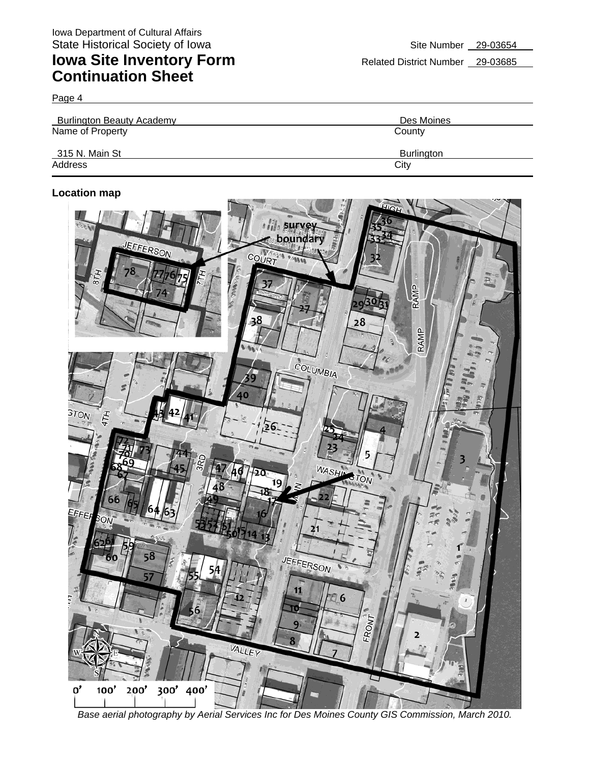Page 4

| <b>Burlington Beauty Academy</b> | Des Moines |
|----------------------------------|------------|
| Name of Property                 | County     |
| 315 N. Main St                   | Burlington |
| Address                          | City       |

#### **Location map**



*Base aerial photography by Aerial Services Inc for Des Moines County GIS Commission, March 2010.*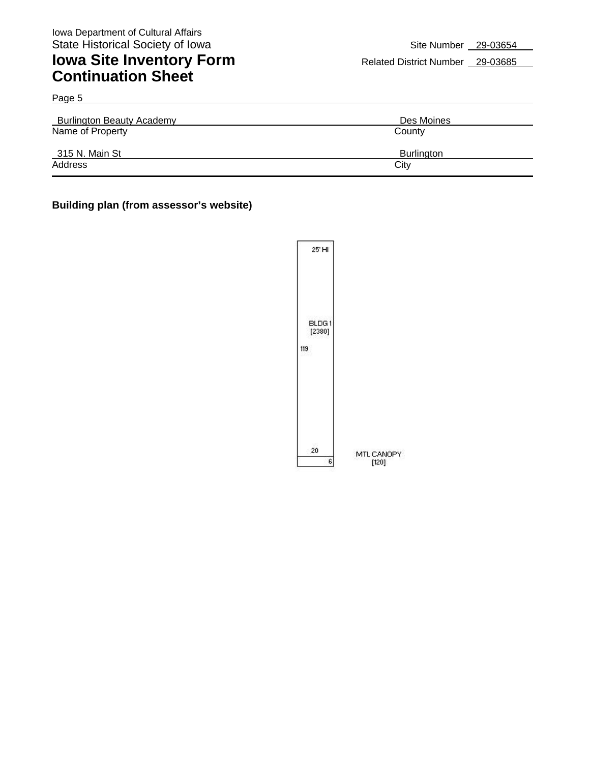Page 5

## **Iowa Site Inventory Form** Related District Number 29-03685 **Continuation Sheet**

| <b>Burlington Beauty Academy</b> | Des Moines |
|----------------------------------|------------|
| Name of Property                 | County     |
| 315 N. Main St                   | Burlington |
| Address                          | City       |

#### **Building plan (from assessor's website)**

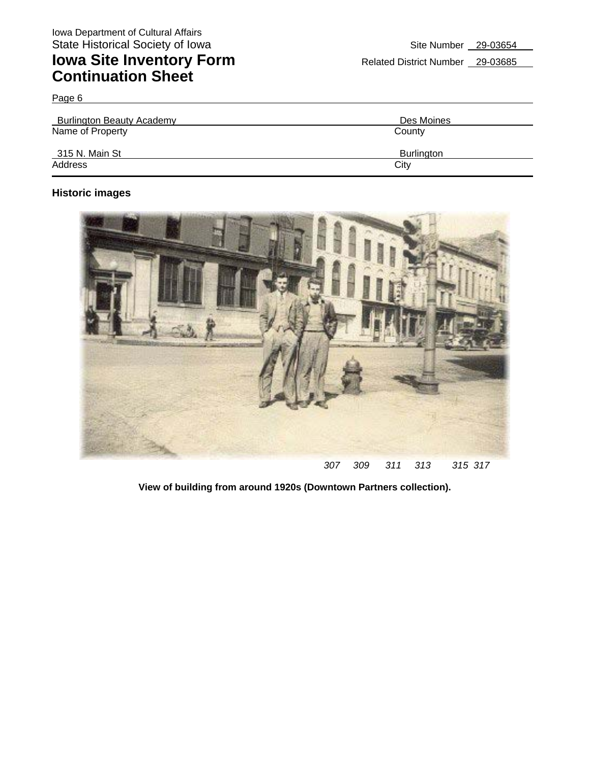Page 6

| <b>Burlington Beauty Academy</b> | Des Moines |
|----------------------------------|------------|
| Name of Property                 | County     |
| 315 N. Main St                   | Burlington |
| Address                          | City       |

### **Historic images**



**View of building from around 1920s (Downtown Partners collection).**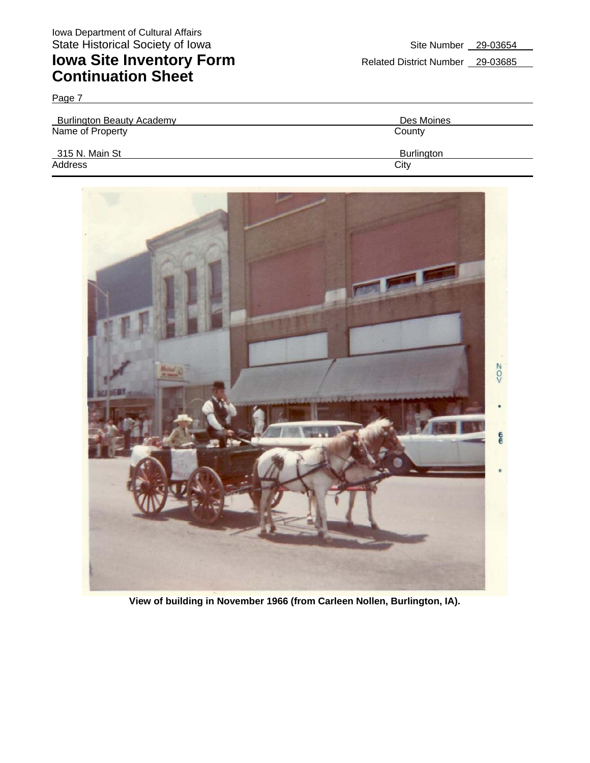| <b>Burlington Beauty Academy</b> | Des Moines |
|----------------------------------|------------|
| Name of Property                 | County     |
| 315 N. Main St                   | Burlington |
| Address                          | City       |



**View of building in November 1966 (from Carleen Nollen, Burlington, IA).**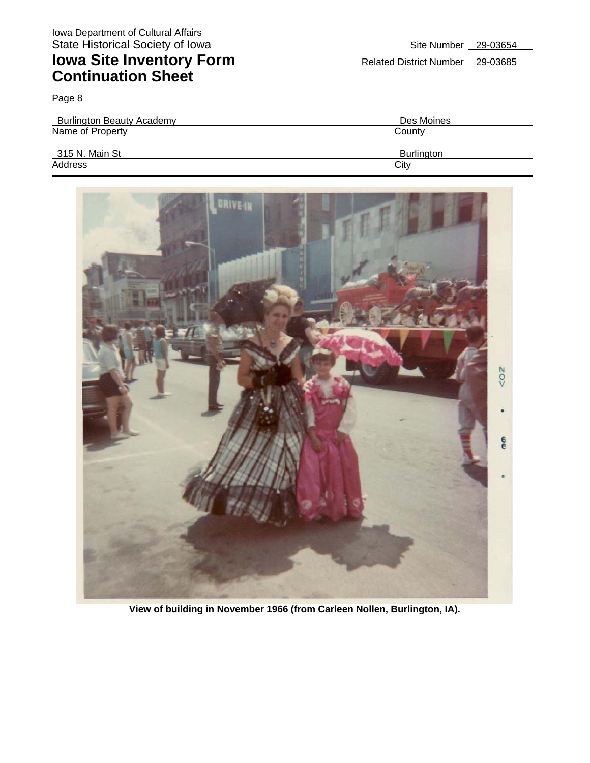| $-2.9$                           |                   |
|----------------------------------|-------------------|
| <b>Burlington Beauty Academy</b> | Des Moines        |
| Name of Property                 | County            |
| 315 N. Main St                   | <b>Burlington</b> |
| Address                          | City              |



**View of building in November 1966 (from Carleen Nollen, Burlington, IA).**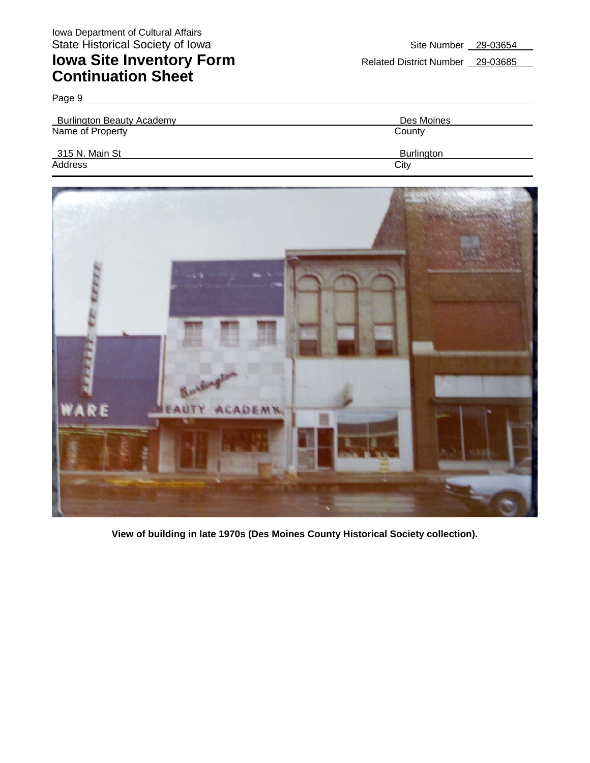| <b>Burlington Beauty Academy</b> | Des Moines        |
|----------------------------------|-------------------|
| Name of Property                 | County            |
| 315 N. Main St                   | <b>Burlington</b> |
| Address                          | City              |



**View of building in late 1970s (Des Moines County Historical Society collection).**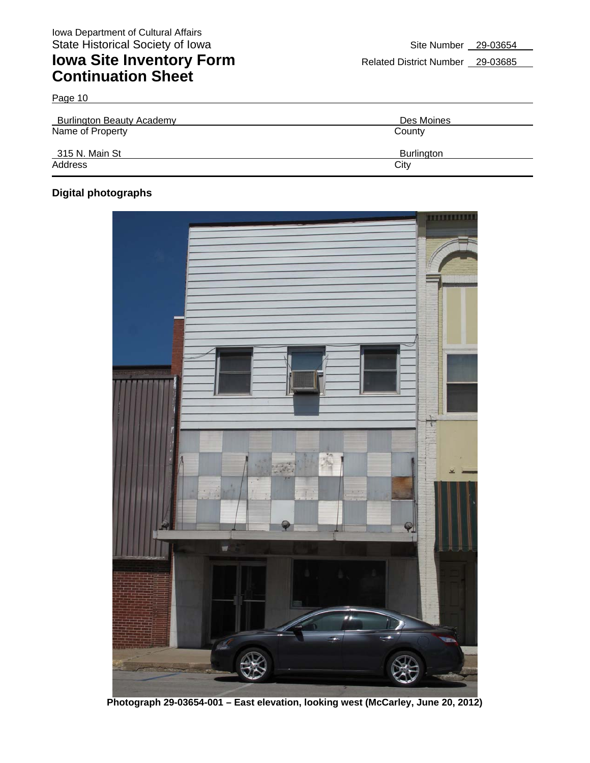| <b>Burlington Beauty Academy</b> | Des Moines        |
|----------------------------------|-------------------|
| Name of Property                 | County            |
| 315 N. Main St                   | <b>Burlington</b> |
| Address                          | City              |

### **Digital photographs**

Page 10



**Photograph 29-03654-001 – East elevation, looking west (McCarley, June 20, 2012)**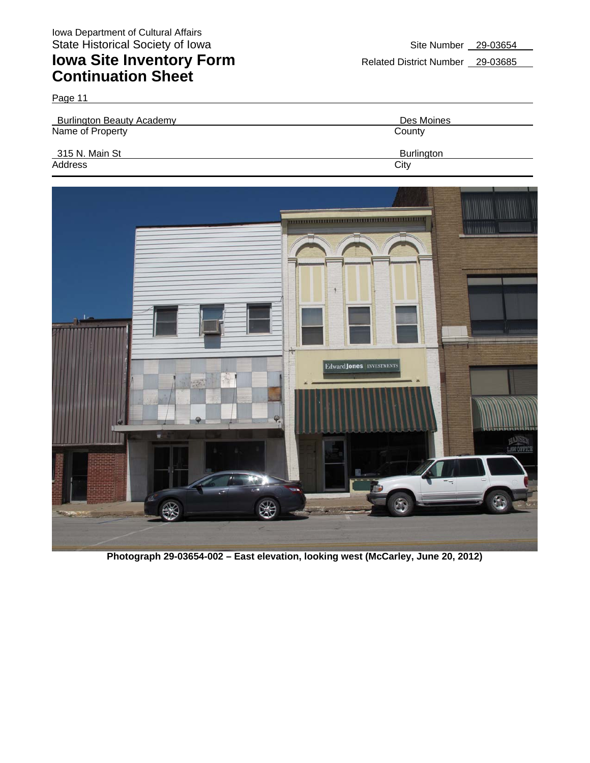Page 11

Burlington Beauty Academy **Des Moines** Name of Property **County** County 315 N. Main St Burlington Address City **City Address** 



**Photograph 29-03654-002 – East elevation, looking west (McCarley, June 20, 2012)**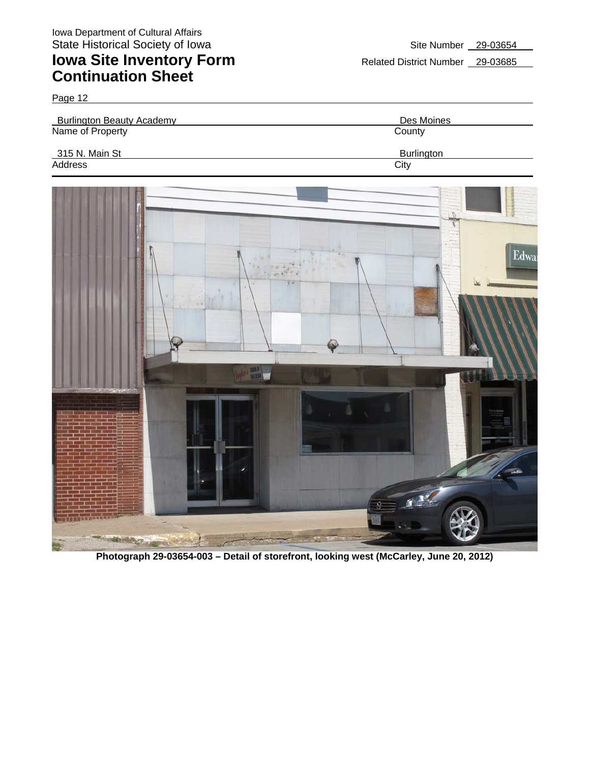

**Photograph 29-03654-003 – Detail of storefront, looking west (McCarley, June 20, 2012)**